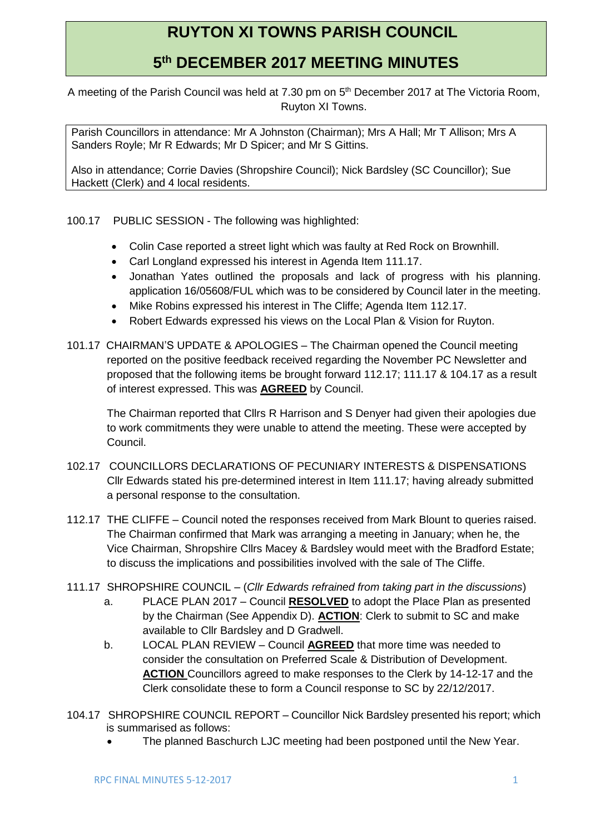# **RUYTON XI TOWNS PARISH COUNCIL**

## **5 th DECEMBER 2017 MEETING MINUTES**

A meeting of the Parish Council was held at 7.30 pm on 5<sup>th</sup> December 2017 at The Victoria Room, Ruyton XI Towns.

Parish Councillors in attendance: Mr A Johnston (Chairman); Mrs A Hall; Mr T Allison; Mrs A Sanders Royle; Mr R Edwards; Mr D Spicer; and Mr S Gittins.

Also in attendance; Corrie Davies (Shropshire Council); Nick Bardsley (SC Councillor); Sue Hackett (Clerk) and 4 local residents.

- 100.17 PUBLIC SESSION The following was highlighted:
	- Colin Case reported a street light which was faulty at Red Rock on Brownhill.
	- Carl Longland expressed his interest in Agenda Item 111.17.
	- Jonathan Yates outlined the proposals and lack of progress with his planning. application 16/05608/FUL which was to be considered by Council later in the meeting.
	- Mike Robins expressed his interest in The Cliffe; Agenda Item 112.17.
	- Robert Edwards expressed his views on the Local Plan & Vision for Ruyton.
- 101.17 CHAIRMAN'S UPDATE & APOLOGIES The Chairman opened the Council meeting reported on the positive feedback received regarding the November PC Newsletter and proposed that the following items be brought forward 112.17; 111.17 & 104.17 as a result of interest expressed. This was **AGREED** by Council.

The Chairman reported that Cllrs R Harrison and S Denyer had given their apologies due to work commitments they were unable to attend the meeting. These were accepted by Council.

- 102.17 COUNCILLORS DECLARATIONS OF PECUNIARY INTERESTS & DISPENSATIONS Cllr Edwards stated his pre-determined interest in Item 111.17; having already submitted a personal response to the consultation.
- 112.17 THE CLIFFE Council noted the responses received from Mark Blount to queries raised. The Chairman confirmed that Mark was arranging a meeting in January; when he, the Vice Chairman, Shropshire Cllrs Macey & Bardsley would meet with the Bradford Estate; to discuss the implications and possibilities involved with the sale of The Cliffe.
- 111.17 SHROPSHIRE COUNCIL (*Cllr Edwards refrained from taking part in the discussions*)
	- a. PLACE PLAN 2017 Council **RESOLVED** to adopt the Place Plan as presented by the Chairman (See Appendix D). **ACTION**: Clerk to submit to SC and make available to Cllr Bardsley and D Gradwell.
	- b. LOCAL PLAN REVIEW Council **AGREED** that more time was needed to consider the consultation on Preferred Scale & Distribution of Development. **ACTION** Councillors agreed to make responses to the Clerk by 14-12-17 and the Clerk consolidate these to form a Council response to SC by 22/12/2017.
- 104.17 SHROPSHIRE COUNCIL REPORT Councillor Nick Bardsley presented his report; which is summarised as follows:
	- The planned Baschurch LJC meeting had been postponed until the New Year.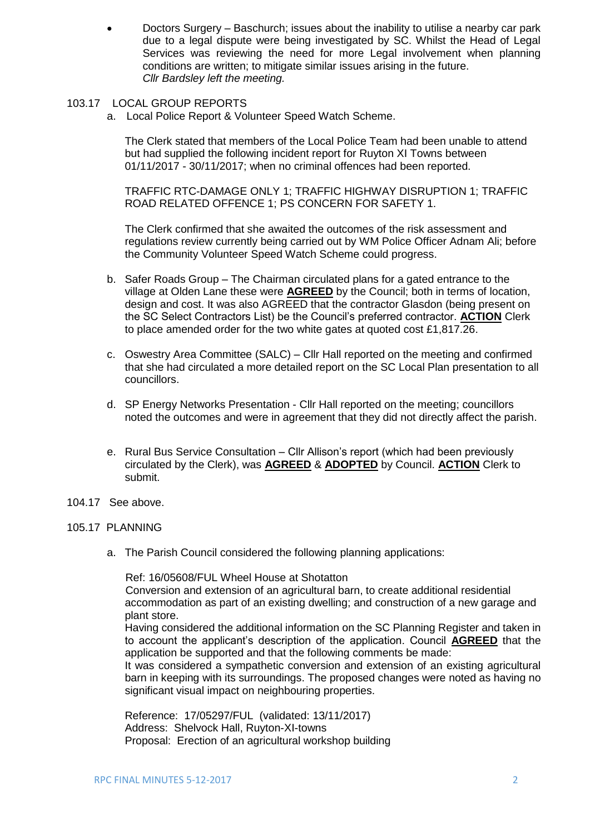- Doctors Surgery Baschurch; issues about the inability to utilise a nearby car park due to a legal dispute were being investigated by SC. Whilst the Head of Legal Services was reviewing the need for more Legal involvement when planning conditions are written; to mitigate similar issues arising in the future. *Cllr Bardsley left the meeting.*
- 103.17 LOCAL GROUP REPORTS
	- a. Local Police Report & Volunteer Speed Watch Scheme.

The Clerk stated that members of the Local Police Team had been unable to attend but had supplied the following incident report for Ruyton XI Towns between 01/11/2017 - 30/11/2017; when no criminal offences had been reported.

TRAFFIC RTC-DAMAGE ONLY 1; TRAFFIC HIGHWAY DISRUPTION 1; TRAFFIC ROAD RELATED OFFENCE 1; PS CONCERN FOR SAFETY 1.

The Clerk confirmed that she awaited the outcomes of the risk assessment and regulations review currently being carried out by WM Police Officer Adnam Ali; before the Community Volunteer Speed Watch Scheme could progress.

- b. Safer Roads Group The Chairman circulated plans for a gated entrance to the village at Olden Lane these were **AGREED** by the Council; both in terms of location, design and cost. It was also AGREED that the contractor Glasdon (being present on the SC Select Contractors List) be the Council's preferred contractor. **ACTION** Clerk to place amended order for the two white gates at quoted cost £1,817.26.
- c. Oswestry Area Committee (SALC) Cllr Hall reported on the meeting and confirmed that she had circulated a more detailed report on the SC Local Plan presentation to all councillors.
- d. SP Energy Networks Presentation Cllr Hall reported on the meeting; councillors noted the outcomes and were in agreement that they did not directly affect the parish.
- e. Rural Bus Service Consultation Cllr Allison's report (which had been previously circulated by the Clerk), was **AGREED** & **ADOPTED** by Council. **ACTION** Clerk to submit.
- 104.17 See above.

### 105.17 PLANNING

a. The Parish Council considered the following planning applications:

Ref: 16/05608/FUL Wheel House at Shotatton

Conversion and extension of an agricultural barn, to create additional residential accommodation as part of an existing dwelling; and construction of a new garage and plant store.

Having considered the additional information on the SC Planning Register and taken in to account the applicant's description of the application. Council **AGREED** that the application be supported and that the following comments be made:

It was considered a sympathetic conversion and extension of an existing agricultural barn in keeping with its surroundings. The proposed changes were noted as having no significant visual impact on neighbouring properties.

Reference: 17/05297/FUL (validated: 13/11/2017) Address: Shelvock Hall, Ruyton-XI-towns Proposal: Erection of an agricultural workshop building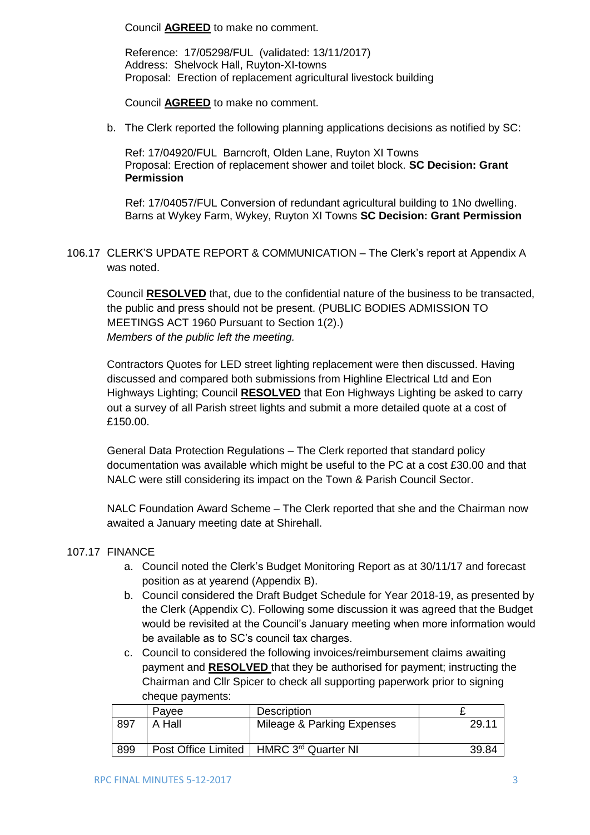Council **AGREED** to make no comment.

Reference: 17/05298/FUL (validated: 13/11/2017) Address: Shelvock Hall, Ruyton-XI-towns Proposal: Erection of replacement agricultural livestock building

Council **AGREED** to make no comment.

b. The Clerk reported the following planning applications decisions as notified by SC:

Ref: 17/04920/FUL Barncroft, Olden Lane, Ruyton XI Towns Proposal: Erection of replacement shower and toilet block. **SC Decision: Grant Permission** 

 Ref: 17/04057/FUL Conversion of redundant agricultural building to 1No dwelling. Barns at Wykey Farm, Wykey, Ruyton XI Towns **SC Decision: Grant Permission** 

106.17 CLERK'S UPDATE REPORT & COMMUNICATION – The Clerk's report at Appendix A was noted.

Council **RESOLVED** that, due to the confidential nature of the business to be transacted, the public and press should not be present. (PUBLIC BODIES ADMISSION TO MEETINGS ACT 1960 Pursuant to Section 1(2).) *Members of the public left the meeting.*

Contractors Quotes for LED street lighting replacement were then discussed. Having discussed and compared both submissions from Highline Electrical Ltd and Eon Highways Lighting; Council **RESOLVED** that Eon Highways Lighting be asked to carry out a survey of all Parish street lights and submit a more detailed quote at a cost of £150.00.

General Data Protection Regulations – The Clerk reported that standard policy documentation was available which might be useful to the PC at a cost £30.00 and that NALC were still considering its impact on the Town & Parish Council Sector.

NALC Foundation Award Scheme – The Clerk reported that she and the Chairman now awaited a January meeting date at Shirehall.

### 107.17 FINANCE

- a. Council noted the Clerk's Budget Monitoring Report as at 30/11/17 and forecast position as at yearend (Appendix B).
- b. Council considered the Draft Budget Schedule for Year 2018-19, as presented by the Clerk (Appendix C). Following some discussion it was agreed that the Budget would be revisited at the Council's January meeting when more information would be available as to SC's council tax charges.
- c. Council to considered the following invoices/reimbursement claims awaiting payment and **RESOLVED** that they be authorised for payment; instructing the Chairman and Cllr Spicer to check all supporting paperwork prior to signing cheque payments:

|     | Pavee  | Description                               |       |
|-----|--------|-------------------------------------------|-------|
| 897 | A Hall | Mileage & Parking Expenses                | 29.11 |
| 899 |        | Post Office Limited   HMRC 3rd Quarter NI | 39.84 |